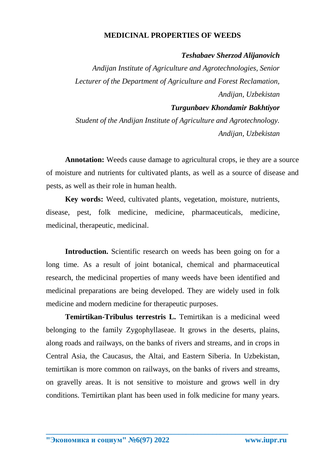## **MEDICINAL PROPERTIES OF WEEDS**

## *Teshabaev Sherzod Alijanovich*

*Andijan Institute of Agriculture and Agrotechnologies, Senior Lecturer of the Department of Agriculture and Forest Reclamation, Andijan, Uzbekistan*

## *Turgunbaev Khondamir Bakhtiyor*

*Student of the Andijan Institute of Agriculture and Agrotechnology. Andijan, Uzbekistan*

**Annotation:** Weeds cause damage to agricultural crops, ie they are a source of moisture and nutrients for cultivated plants, as well as a source of disease and pests, as well as their role in human health.

**Key words:** Weed, cultivated plants, vegetation, moisture, nutrients, disease, pest, folk medicine, medicine, pharmaceuticals, medicine, medicinal, therapeutic, medicinal.

Introduction. Scientific research on weeds has been going on for a long time. As a result of joint botanical, chemical and pharmaceutical research, the medicinal properties of many weeds have been identified and medicinal preparations are being developed. They are widely used in folk medicine and modern medicine for therapeutic purposes.

**Temirtikan-Tribulus terrestris L.** Temirtikan is a medicinal weed belonging to the family Zygophyllaseae. It grows in the deserts, plains, along roads and railways, on the banks of rivers and streams, and in crops in Central Asia, the Caucasus, the Altai, and Eastern Siberia. In Uzbekistan, temirtikan is more common on railways, on the banks of rivers and streams, on gravelly areas. It is not sensitive to moisture and grows well in dry conditions. Temirtikan plant has been used in folk medicine for many years.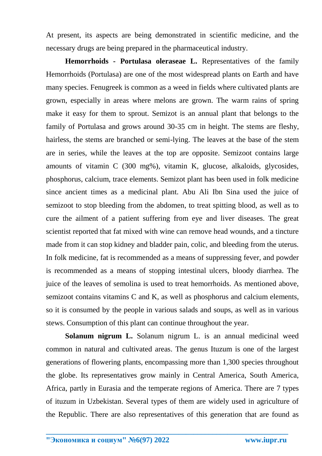At present, its aspects are being demonstrated in scientific medicine, and the necessary drugs are being prepared in the pharmaceutical industry.

**Hemorrhoids - Portulasa oleraseae L.** Representatives of the family Hemorrhoids (Portulasa) are one of the most widespread plants on Earth and have many species. Fenugreek is common as a weed in fields where cultivated plants are grown, especially in areas where melons are grown. The warm rains of spring make it easy for them to sprout. Semizot is an annual plant that belongs to the family of Portulasa and grows around 30-35 cm in height. The stems are fleshy, hairless, the stems are branched or semi-lying. The leaves at the base of the stem are in series, while the leaves at the top are opposite. Semizoot contains large amounts of vitamin C (300 mg%), vitamin K, glucose, alkaloids, glycosides, phosphorus, calcium, trace elements. Semizot plant has been used in folk medicine since ancient times as a medicinal plant. Abu Ali Ibn Sina used the juice of semizoot to stop bleeding from the abdomen, to treat spitting blood, as well as to cure the ailment of a patient suffering from eye and liver diseases. The great scientist reported that fat mixed with wine can remove head wounds, and a tincture made from it can stop kidney and bladder pain, colic, and bleeding from the uterus. In folk medicine, fat is recommended as a means of suppressing fever, and powder is recommended as a means of stopping intestinal ulcers, bloody diarrhea. The juice of the leaves of semolina is used to treat hemorrhoids. As mentioned above, semizoot contains vitamins C and K, as well as phosphorus and calcium elements, so it is consumed by the people in various salads and soups, as well as in various stews. Consumption of this plant can continue throughout the year.

**Solanum nigrum L.** Solanum nigrum L. is an annual medicinal weed common in natural and cultivated areas. The genus Ituzum is one of the largest generations of flowering plants, encompassing more than 1,300 species throughout the globe. Its representatives grow mainly in Central America, South America, Africa, partly in Eurasia and the temperate regions of America. There are 7 types of ituzum in Uzbekistan. Several types of them are widely used in agriculture of the Republic. There are also representatives of this generation that are found as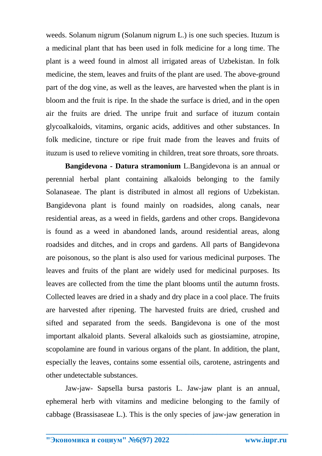weeds. Solanum nigrum (Solanum nigrum L.) is one such species. Ituzum is a medicinal plant that has been used in folk medicine for a long time. The plant is a weed found in almost all irrigated areas of Uzbekistan. In folk medicine, the stem, leaves and fruits of the plant are used. The above-ground part of the dog vine, as well as the leaves, are harvested when the plant is in bloom and the fruit is ripe. In the shade the surface is dried, and in the open air the fruits are dried. The unripe fruit and surface of ituzum contain glycoalkaloids, vitamins, organic acids, additives and other substances. In folk medicine, tincture or ripe fruit made from the leaves and fruits of ituzum is used to relieve vomiting in children, treat sore throats, sore throats.

**Bangidevona - Datura stramonium** L.Bangidevona is an annual or perennial herbal plant containing alkaloids belonging to the family Solanaseae. The plant is distributed in almost all regions of Uzbekistan. Bangidevona plant is found mainly on roadsides, along canals, near residential areas, as a weed in fields, gardens and other crops. Bangidevona is found as a weed in abandoned lands, around residential areas, along roadsides and ditches, and in crops and gardens. All parts of Bangidevona are poisonous, so the plant is also used for various medicinal purposes. The leaves and fruits of the plant are widely used for medicinal purposes. Its leaves are collected from the time the plant blooms until the autumn frosts. Collected leaves are dried in a shady and dry place in a cool place. The fruits are harvested after ripening. The harvested fruits are dried, crushed and sifted and separated from the seeds. Bangidevona is one of the most important alkaloid plants. Several alkaloids such as giostsiamine, atropine, scopolamine are found in various organs of the plant. In addition, the plant, especially the leaves, contains some essential oils, carotene, astringents and other undetectable substances.

Jaw-jaw- Sapsella bursa pastoris L. Jaw-jaw plant is an annual, ephemeral herb with vitamins and medicine belonging to the family of cabbage (Brassisaseae L.). This is the only species of jaw-jaw generation in